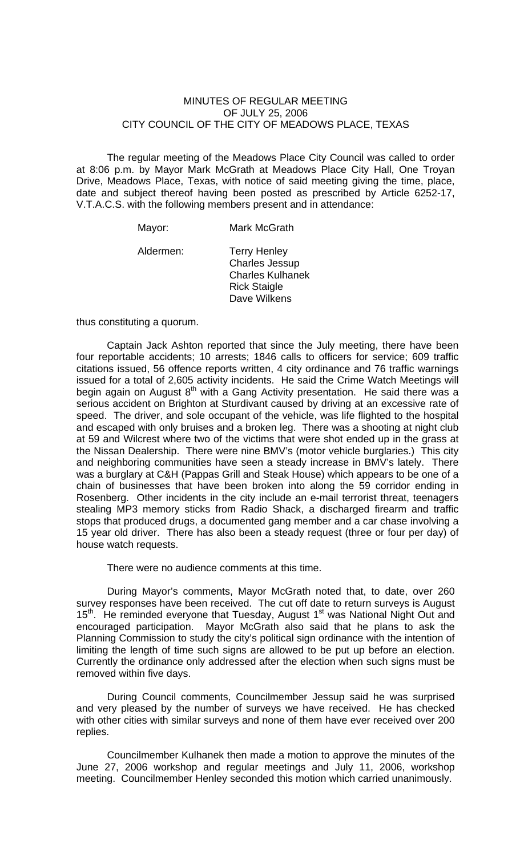## MINUTES OF REGULAR MEETING OF JULY 25, 2006 CITY COUNCIL OF THE CITY OF MEADOWS PLACE, TEXAS

The regular meeting of the Meadows Place City Council was called to order at 8:06 p.m. by Mayor Mark McGrath at Meadows Place City Hall, One Troyan Drive, Meadows Place, Texas, with notice of said meeting giving the time, place, date and subject thereof having been posted as prescribed by Article 6252-17, V.T.A.C.S. with the following members present and in attendance:

Mayor: Mark McGrath

Aldermen: Terry Henley Charles Jessup Charles Kulhanek Rick Staigle Dave Wilkens

thus constituting a quorum.

 Captain Jack Ashton reported that since the July meeting, there have been four reportable accidents; 10 arrests; 1846 calls to officers for service; 609 traffic citations issued, 56 offence reports written, 4 city ordinance and 76 traffic warnings issued for a total of 2,605 activity incidents. He said the Crime Watch Meetings will begin again on August  $8<sup>th</sup>$  with a Gang Activity presentation. He said there was a serious accident on Brighton at Sturdivant caused by driving at an excessive rate of speed. The driver, and sole occupant of the vehicle, was life flighted to the hospital and escaped with only bruises and a broken leg. There was a shooting at night club at 59 and Wilcrest where two of the victims that were shot ended up in the grass at the Nissan Dealership. There were nine BMV's (motor vehicle burglaries.) This city and neighboring communities have seen a steady increase in BMV's lately. There was a burglary at C&H (Pappas Grill and Steak House) which appears to be one of a chain of businesses that have been broken into along the 59 corridor ending in Rosenberg. Other incidents in the city include an e-mail terrorist threat, teenagers stealing MP3 memory sticks from Radio Shack, a discharged firearm and traffic stops that produced drugs, a documented gang member and a car chase involving a 15 year old driver. There has also been a steady request (three or four per day) of house watch requests.

There were no audience comments at this time.

 During Mayor's comments, Mayor McGrath noted that, to date, over 260 survey responses have been received. The cut off date to return surveys is August 15<sup>th</sup>. He reminded everyone that Tuesday, August 1<sup>st</sup> was National Night Out and encouraged participation. Mayor McGrath also said that he plans to ask the Planning Commission to study the city's political sign ordinance with the intention of limiting the length of time such signs are allowed to be put up before an election. Currently the ordinance only addressed after the election when such signs must be removed within five days.

 During Council comments, Councilmember Jessup said he was surprised and very pleased by the number of surveys we have received. He has checked with other cities with similar surveys and none of them have ever received over 200 replies.

 Councilmember Kulhanek then made a motion to approve the minutes of the June 27, 2006 workshop and regular meetings and July 11, 2006, workshop meeting. Councilmember Henley seconded this motion which carried unanimously.